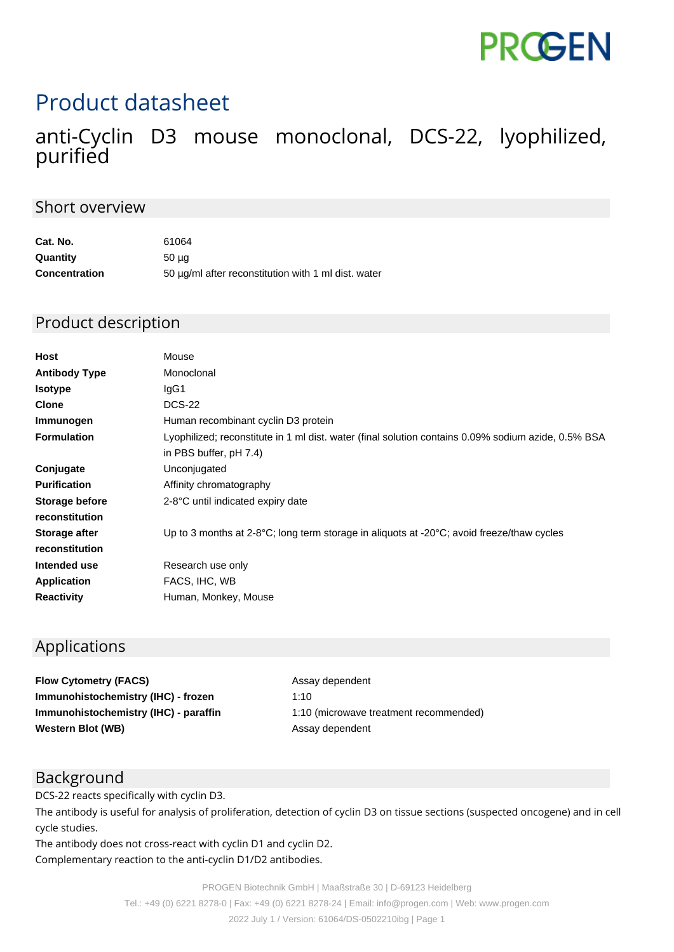

# Product datasheet

### anti-Cyclin D3 mouse monoclonal, DCS-22, lyophilized, purified

#### Short overview

| Cat. No.             | 61064                                               |
|----------------------|-----------------------------------------------------|
| Quantity             | 50 <sub>µq</sub>                                    |
| <b>Concentration</b> | 50 µg/ml after reconstitution with 1 ml dist. water |

#### Product description

| <b>Host</b>          | Mouse                                                                                                         |
|----------------------|---------------------------------------------------------------------------------------------------------------|
| <b>Antibody Type</b> | Monoclonal                                                                                                    |
| <b>Isotype</b>       | IgG1                                                                                                          |
| <b>Clone</b>         | <b>DCS-22</b>                                                                                                 |
| Immunogen            | Human recombinant cyclin D3 protein                                                                           |
| <b>Formulation</b>   | Lyophilized; reconstitute in 1 ml dist. water (final solution contains 0.09% sodium azide, 0.5% BSA           |
|                      | in PBS buffer, pH 7.4)                                                                                        |
| Conjugate            | Unconjugated                                                                                                  |
| <b>Purification</b>  | Affinity chromatography                                                                                       |
| Storage before       | 2-8°C until indicated expiry date                                                                             |
| reconstitution       |                                                                                                               |
| Storage after        | Up to 3 months at $2-8\degree C$ ; long term storage in aliquots at $-20\degree C$ ; avoid freeze/thaw cycles |
| reconstitution       |                                                                                                               |
| Intended use         | Research use only                                                                                             |
| <b>Application</b>   | FACS, IHC, WB                                                                                                 |
| <b>Reactivity</b>    | Human, Monkey, Mouse                                                                                          |
|                      |                                                                                                               |

#### Applications

**Flow Cytometry (FACS)** Assay dependent **Immunohistochemistry (IHC) - frozen** 1:10 **Western Blot (WB)** Assay dependent

**Immunohistochemistry (IHC) - paraffin** 1:10 (microwave treatment recommended)

#### Background

DCS-22 reacts specifically with cyclin D3.

The antibody is useful for analysis of proliferation, detection of cyclin D3 on tissue sections (suspected oncogene) and in cell cycle studies.

The antibody does not cross-react with cyclin D1 and cyclin D2. Complementary reaction to the anti-cyclin D1/D2 antibodies.

PROGEN Biotechnik GmbH | Maaßstraße 30 | D-69123 Heidelberg

Tel.: +49 (0) 6221 8278-0 | Fax: +49 (0) 6221 8278-24 | Email: info@progen.com | Web: www.progen.com

2022 July 1 / Version: 61064/DS-0502210ibg | Page 1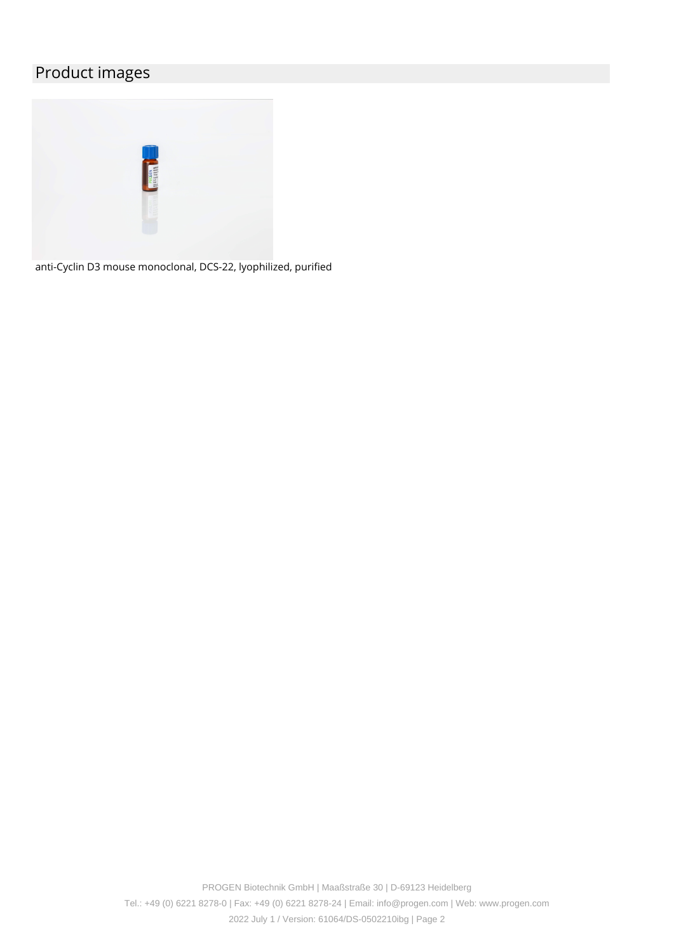## Product images



anti-Cyclin D3 mouse monoclonal, DCS-22, lyophilized, purified